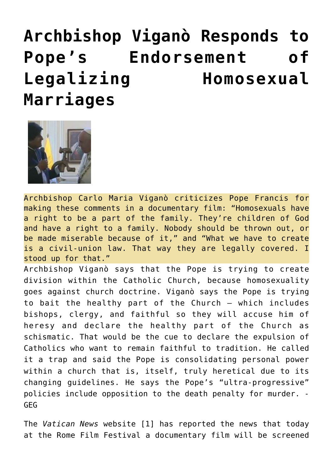## **[Archbishop Viganò Responds to](https://needtoknow.news/2020/10/archbishop-vigano-responds-to-popes-endorsement-of-legalizing-homosexual-marriages/) [Pope's Endorsement of](https://needtoknow.news/2020/10/archbishop-vigano-responds-to-popes-endorsement-of-legalizing-homosexual-marriages/) [Legalizing Homosexual](https://needtoknow.news/2020/10/archbishop-vigano-responds-to-popes-endorsement-of-legalizing-homosexual-marriages/) [Marriages](https://needtoknow.news/2020/10/archbishop-vigano-responds-to-popes-endorsement-of-legalizing-homosexual-marriages/)**



Archbishop Carlo Maria Viganò criticizes Pope Francis for making these comments in a documentary film: "Homosexuals have a right to be a part of the family. They're children of God and have a right to a family. Nobody should be thrown out, or be made miserable because of it," and "What we have to create is a civil-union law. That way they are legally covered. I stood up for that."

Archbishop Viganò says that the Pope is trying to create division within the Catholic Church, because homosexuality goes against church doctrine. Viganò says the Pope is trying to bait the healthy part of the Church – which includes bishops, clergy, and faithful so they will accuse him of heresy and declare the healthy part of the Church as schismatic. That would be the cue to declare the expulsion of Catholics who want to remain faithful to tradition. He called it a trap and said the Pope is consolidating personal power within a church that is, itself, truly heretical due to its changing guidelines. He says the Pope's "ultra-progressive" policies include opposition to the death penalty for murder. - GEG

The *[Vatican News](https://www.vaticannews.va/it/papa/news/2020-10/papa-francesco-film-documentario-festival-cinema-roma.html)* [website](https://www.vaticannews.va/it/papa/news/2020-10/papa-francesco-film-documentario-festival-cinema-roma.html) [\[1\]](https://www.lifesitenews.com/opinion/archbishop-vigano-responds-to-new-film-in-which-pope-endorses-homosexual-civil-unions#_ftn1) has reported the news that today at the Rome Film Festival a documentary film will be screened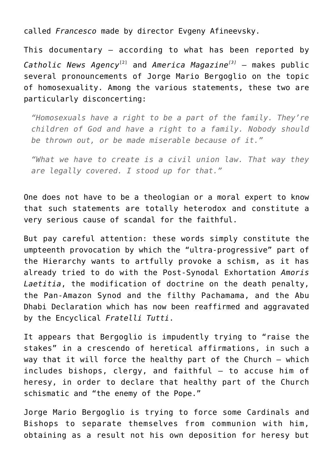called *Francesco* made by director Evgeny Afineevsky.

This documentary – according to what has been reported by *[Catholic News Agency](https://www.catholicnewsagency.com/news/pope-francis-calls-for-civil-union-law-for-same-sex-couples-in-shift-from-vatican-stance-12462)*[\[2\]](https://www.lifesitenews.com/opinion/archbishop-vigano-responds-to-new-film-in-which-pope-endorses-homosexual-civil-unions#_ftn2) and *[America Magazine](https://www.americamagazine.org/faith/2020/10/21/pope-francis-gay-civil-union-documentary)[\[3\]](https://www.lifesitenews.com/opinion/archbishop-vigano-responds-to-new-film-in-which-pope-endorses-homosexual-civil-unions#_ftn3)* – makes public several pronouncements of Jorge Mario Bergoglio on the topic of homosexuality. Among the various statements, these two are particularly disconcerting:

*"Homosexuals have a right to be a part of the family. They're children of God and have a right to a family. Nobody should be thrown out, or be made miserable because of it."*

*"What we have to create is a civil union law. That way they are legally covered. I stood up for that."*

One does not have to be a theologian or a moral expert to know that such statements are totally heterodox and constitute a very serious cause of scandal for the faithful.

But pay careful attention: these words simply constitute the umpteenth provocation by which the "ultra-progressive" part of the Hierarchy wants to artfully provoke a schism, as it has already tried to do with the Post-Synodal Exhortation *Amoris Laetitia*, the modification of doctrine on the death penalty, the Pan-Amazon Synod and the filthy [Pachamama,](https://projects.iq.harvard.edu/francisclooney/blog/pope-amazon-and-pachamama) and the Abu Dhabi Declaration which has now been reaffirmed and aggravated by the Encyclical *Fratelli Tutti*.

It appears that Bergoglio is impudently trying to "raise the stakes" in a crescendo of heretical affirmations, in such a way that it will force the healthy part of the Church – which includes bishops, clergy, and faithful – to accuse him of heresy, in order to declare that healthy part of the Church schismatic and "the enemy of the Pope."

Jorge Mario Bergoglio is trying to force some Cardinals and Bishops to separate themselves from communion with him, obtaining as a result not his own deposition for heresy but